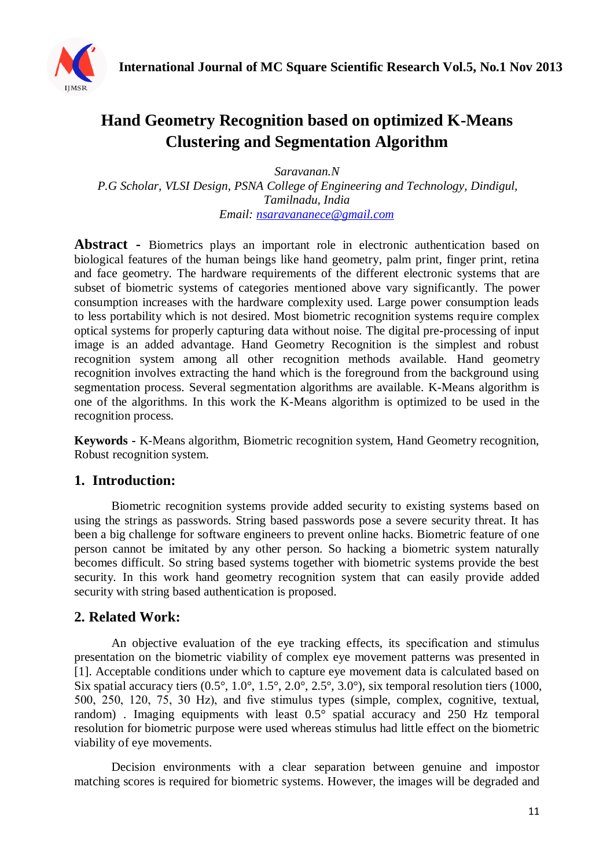

# **Hand Geometry Recognition based on optimized K-Means Clustering and Segmentation Algorithm**

*Saravanan.N P.G Scholar, VLSI Design, PSNA College of Engineering and Technology, Dindigul, Tamilnadu, India Email: [nsaravananece@gmail.com](mailto:nsaravananece@gmail.com)*

**Abstract -** Biometrics plays an important role in electronic authentication based on biological features of the human beings like hand geometry, palm print, finger print, retina and face geometry. The hardware requirements of the different electronic systems that are subset of biometric systems of categories mentioned above vary significantly. The power consumption increases with the hardware complexity used. Large power consumption leads to less portability which is not desired. Most biometric recognition systems require complex optical systems for properly capturing data without noise. The digital pre-processing of input image is an added advantage. Hand Geometry Recognition is the simplest and robust recognition system among all other recognition methods available. Hand geometry recognition involves extracting the hand which is the foreground from the background using segmentation process. Several segmentation algorithms are available. K-Means algorithm is one of the algorithms. In this work the K-Means algorithm is optimized to be used in the recognition process.

**Keywords -** K-Means algorithm, Biometric recognition system, Hand Geometry recognition, Robust recognition system.

## **1. Introduction:**

Biometric recognition systems provide added security to existing systems based on using the strings as passwords. String based passwords pose a severe security threat. It has been a big challenge for software engineers to prevent online hacks. Biometric feature of one person cannot be imitated by any other person. So hacking a biometric system naturally becomes difficult. So string based systems together with biometric systems provide the best security. In this work hand geometry recognition system that can easily provide added security with string based authentication is proposed.

## **2. Related Work:**

An objective evaluation of the eye tracking effects, its specification and stimulus presentation on the biometric viability of complex eye movement patterns was presented in [1]. Acceptable conditions under which to capture eye movement data is calculated based on Six spatial accuracy tiers  $(0.5^{\circ}, 1.0^{\circ}, 1.5^{\circ}, 2.0^{\circ}, 2.5^{\circ}, 3.0^{\circ})$ , six temporal resolution tiers (1000, 500, 250, 120, 75, 30 Hz), and five stimulus types (simple, complex, cognitive, textual, random) . Imaging equipments with least 0.5° spatial accuracy and 250 Hz temporal resolution for biometric purpose were used whereas stimulus had little effect on the biometric viability of eye movements.

Decision environments with a clear separation between genuine and impostor matching scores is required for biometric systems. However, the images will be degraded and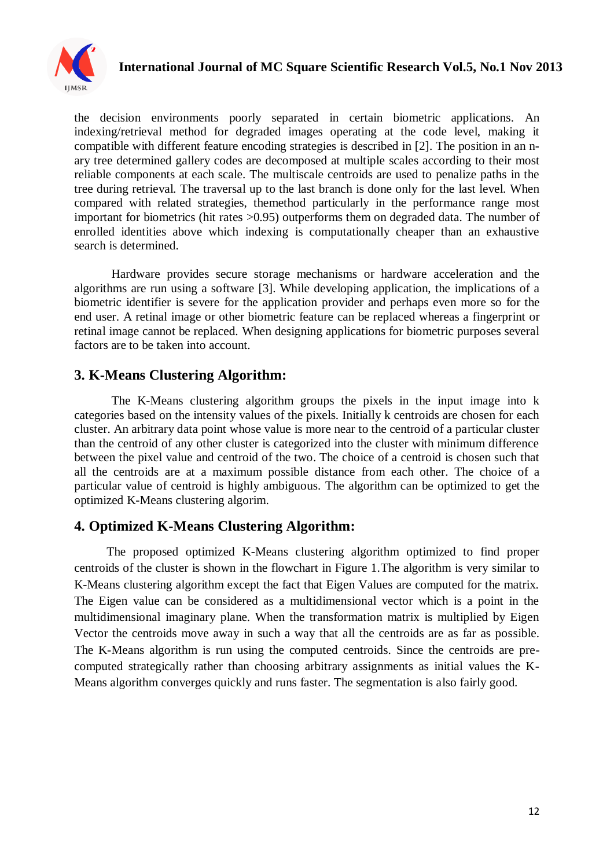

# **International Journal of MC Square Scientific Research Vol.5, No.1 Nov 2013**

the decision environments poorly separated in certain biometric applications. An indexing/retrieval method for degraded images operating at the code level, making it compatible with different feature encoding strategies is described in [2]. The position in an nary tree determined gallery codes are decomposed at multiple scales according to their most reliable components at each scale. The multiscale centroids are used to penalize paths in the tree during retrieval. The traversal up to the last branch is done only for the last level. When compared with related strategies, themethod particularly in the performance range most important for biometrics (hit rates >0.95) outperforms them on degraded data. The number of enrolled identities above which indexing is computationally cheaper than an exhaustive search is determined.

Hardware provides secure storage mechanisms or hardware acceleration and the algorithms are run using a software [3]. While developing application, the implications of a biometric identifier is severe for the application provider and perhaps even more so for the end user. A retinal image or other biometric feature can be replaced whereas a fingerprint or retinal image cannot be replaced. When designing applications for biometric purposes several factors are to be taken into account.

## **3. K-Means Clustering Algorithm:**

The K-Means clustering algorithm groups the pixels in the input image into k categories based on the intensity values of the pixels. Initially k centroids are chosen for each cluster. An arbitrary data point whose value is more near to the centroid of a particular cluster than the centroid of any other cluster is categorized into the cluster with minimum difference between the pixel value and centroid of the two. The choice of a centroid is chosen such that all the centroids are at a maximum possible distance from each other. The choice of a particular value of centroid is highly ambiguous. The algorithm can be optimized to get the optimized K-Means clustering algorim.

## **4. Optimized K-Means Clustering Algorithm:**

The proposed optimized K-Means clustering algorithm optimized to find proper centroids of the cluster is shown in the flowchart in Figure 1.The algorithm is very similar to K-Means clustering algorithm except the fact that Eigen Values are computed for the matrix. The Eigen value can be considered as a multidimensional vector which is a point in the multidimensional imaginary plane. When the transformation matrix is multiplied by Eigen Vector the centroids move away in such a way that all the centroids are as far as possible. The K-Means algorithm is run using the computed centroids. Since the centroids are precomputed strategically rather than choosing arbitrary assignments as initial values the K-Means algorithm converges quickly and runs faster. The segmentation is also fairly good.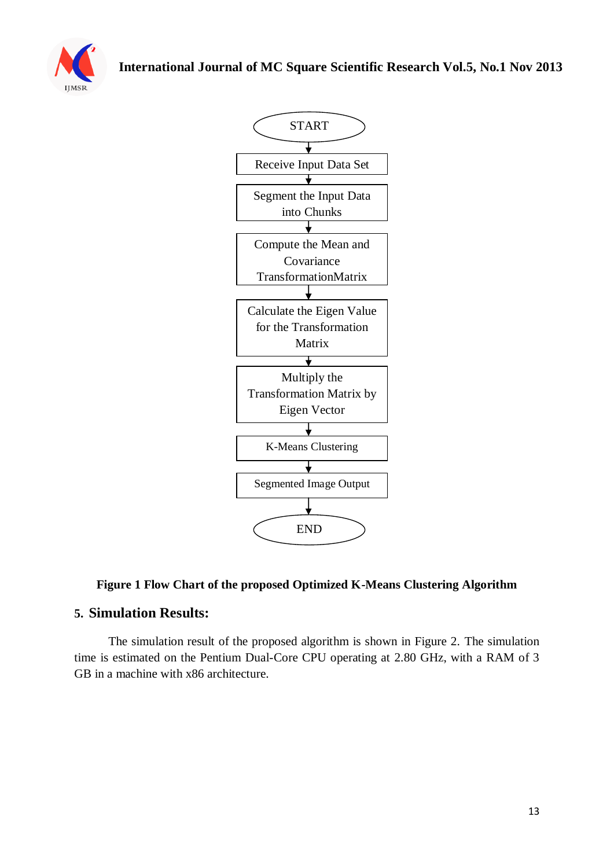





#### **Figure 1 Flow Chart of the proposed Optimized K-Means Clustering Algorithm**

#### **5. Simulation Results:**

 The simulation result of the proposed algorithm is shown in Figure 2. The simulation time is estimated on the Pentium Dual-Core CPU operating at 2.80 GHz, with a RAM of 3 GB in a machine with x86 architecture.